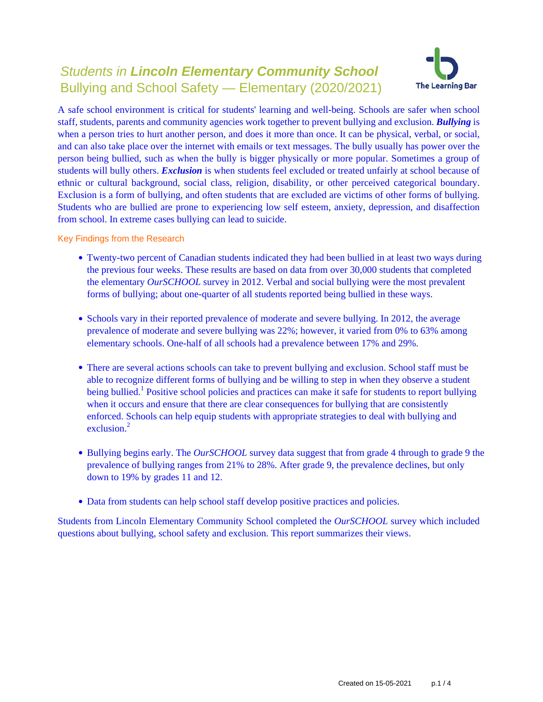# Students in **Lincoln Elementary Community School** Bullying and School Safety — Elementary (2020/2021)



A safe school environment is critical for students' learning and well-being. Schools are safer when school staff, students, parents and community agencies work together to prevent bullying and exclusion. *Bullying* is when a person tries to hurt another person, and does it more than once. It can be physical, verbal, or social, and can also take place over the internet with emails or text messages. The bully usually has power over the person being bullied, such as when the bully is bigger physically or more popular. Sometimes a group of students will bully others. *Exclusion* is when students feel excluded or treated unfairly at school because of ethnic or cultural background, social class, religion, disability, or other perceived categorical boundary. Exclusion is a form of bullying, and often students that are excluded are victims of other forms of bullying. Students who are bullied are prone to experiencing low self esteem, anxiety, depression, and disaffection from school. In extreme cases bullying can lead to suicide.

Key Findings from the Research

- Twenty-two percent of Canadian students indicated they had been bullied in at least two ways during the previous four weeks. These results are based on data from over 30,000 students that completed the elementary *OurSCHOOL* survey in 2012. Verbal and social bullying were the most prevalent forms of bullying; about one-quarter of all students reported being bullied in these ways.
- Schools vary in their reported prevalence of moderate and severe bullying. In 2012, the average prevalence of moderate and severe bullying was 22%; however, it varied from 0% to 63% among elementary schools. One-half of all schools had a prevalence between 17% and 29%.
- There are several actions schools can take to prevent bullying and exclusion. School staff must be able to recognize different forms of bullying and be willing to step in when they observe a student being bullied.<sup>1</sup> Positive school policies and practices can make it safe for students to report bullying when it occurs and ensure that there are clear consequences for bullying that are consistently enforced. Schools can help equip students with appropriate strategies to deal with bullying and exclusion $^2$
- Bullying begins early. The *OurSCHOOL* survey data suggest that from grade 4 through to grade 9 the prevalence of bullying ranges from 21% to 28%. After grade 9, the prevalence declines, but only down to 19% by grades 11 and 12.
- Data from students can help school staff develop positive practices and policies.

Students from Lincoln Elementary Community School completed the *OurSCHOOL* survey which included questions about bullying, school safety and exclusion. This report summarizes their views.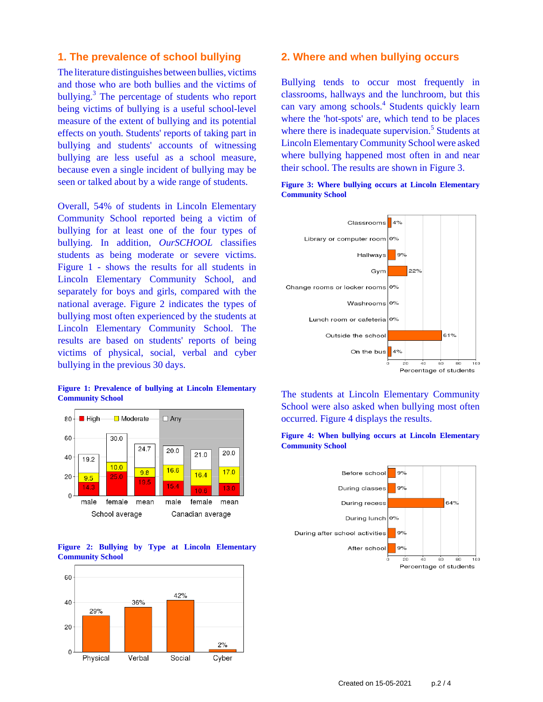### **1. The prevalence of school bullying**

The literature distinguishes between bullies, victims and those who are both bullies and the victims of bullying.<sup>3</sup> The percentage of students who report being victims of bullying is a useful school-level measure of the extent of bullying and its potential effects on youth. Students' reports of taking part in bullying and students' accounts of witnessing bullying are less useful as a school measure, because even a single incident of bullying may be seen or talked about by a wide range of students.

Overall, 54% of students in Lincoln Elementary Community School reported being a victim of bullying for at least one of the four types of bullying. In addition, *OurSCHOOL* classifies students as being moderate or severe victims. Figure 1 - shows the results for all students in Lincoln Elementary Community School, and separately for boys and girls, compared with the national average. Figure 2 indicates the types of bullying most often experienced by the students at Lincoln Elementary Community School. The results are based on students' reports of being victims of physical, social, verbal and cyber bullying in the previous 30 days.

#### **Figure 1: Prevalence of bullying at Lincoln Elementary Community School**







#### **2. Where and when bullying occurs**

Bullying tends to occur most frequently in classrooms, hallways and the lunchroom, but this can vary among schools.<sup>4</sup> Students quickly learn where the 'hot-spots' are, which tend to be places where there is inadequate supervision.<sup>5</sup> Students at Lincoln Elementary Community School were asked where bullying happened most often in and near their school. The results are shown in Figure 3.





The students at Lincoln Elementary Community School were also asked when bullying most often occurred. Figure 4 displays the results.



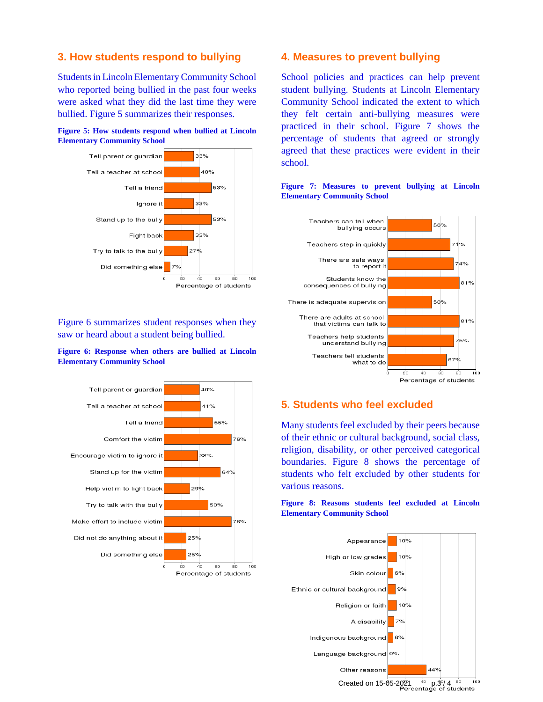## **3. How students respond to bullying**

Students in Lincoln Elementary Community School who reported being bullied in the past four weeks were asked what they did the last time they were bullied. Figure 5 summarizes their responses.





Figure 6 summarizes student responses when they saw or heard about a student being bullied.

#### **Figure 6: Response when others are bullied at Lincoln Elementary Community School**



#### **4. Measures to prevent bullying**

School policies and practices can help prevent student bullying. Students at Lincoln Elementary Community School indicated the extent to which they felt certain anti-bullying measures were practiced in their school. Figure 7 shows the percentage of students that agreed or strongly agreed that these practices were evident in their school.



#### **Figure 7: Measures to prevent bullying at Lincoln Elementary Community School**

# **5. Students who feel excluded**

Many students feel excluded by their peers because of their ethnic or cultural background, social class, religion, disability, or other perceived categorical boundaries. Figure 8 shows the percentage of students who felt excluded by other students for various reasons.